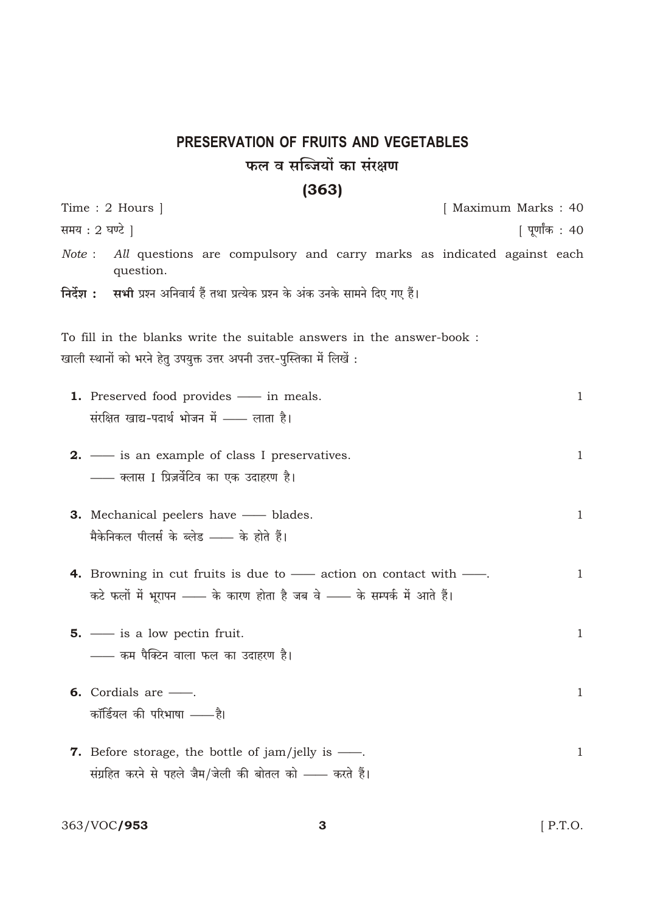## PRESERVATION OF FRUITS AND VEGETABLES फल व सब्जियों का संरक्षण

## $(363)$

| Time : 2 Hours $\vert$                                                                                                                                                     | [ Maximum Marks : 40 |
|----------------------------------------------------------------------------------------------------------------------------------------------------------------------------|----------------------|
| समय : 2 घण्टे ]                                                                                                                                                            | पूर्णांक : 40        |
| All questions are compulsory and carry marks as indicated against each<br>Note:<br>question.                                                                               |                      |
| निर्देश : सभी प्रश्न अनिवार्य हैं तथा प्रत्येक प्रश्न के अंक उनके सामने दिए गए हैं।                                                                                        |                      |
| To fill in the blanks write the suitable answers in the answer-book :                                                                                                      |                      |
| खाली स्थानों को भरने हेतु उपयुक्त उत्तर अपनी उत्तर-पुस्तिका में लिखें :                                                                                                    |                      |
| <b>1.</b> Preserved food provides — in meals.<br>संरक्षित खाद्य-पदार्थ भोजन में - लाता है।                                                                                 | 1                    |
| 2. - is an example of class I preservatives.<br>—— क्लास I प्रिज़र्वेटिव का एक उदाहरण है।                                                                                  | $\mathbf{1}$         |
| <b>3.</b> Mechanical peelers have — blades.<br>मैकेनिकल पीलर्स के ब्लेड —— के होते हैं।                                                                                    | $\mathbf{1}$         |
| <b>4.</b> Browning in cut fruits is due to $\frac{1}{1}$ action on contact with $\frac{1}{1}$ .<br>कटे फलों में भूरापन —— के कारण होता है जब वे —— के सम्पर्क में आते हैं। | $\mathbf{1}$         |
| 5. $\frac{1}{\sqrt{2}}$ is a low pectin fruit.<br>—— कम पैक्टिन वाला फल का उदाहरण है।                                                                                      | $\mathbf{1}$         |
| <b>6.</b> Cordials are —.<br>कॉर्डियल की परिभाषा ——है।                                                                                                                     | $\mathbf{1}$         |
| <b>7.</b> Before storage, the bottle of jam/jelly is $\frac{1}{\sqrt{2\pi}}$ .<br>संग्रहित करने से पहले जैम/जेली की बोतल को —— करते हैं।                                   | $\mathbf{1}$         |

363/VOC**/953** 

 $\mathbf{3}$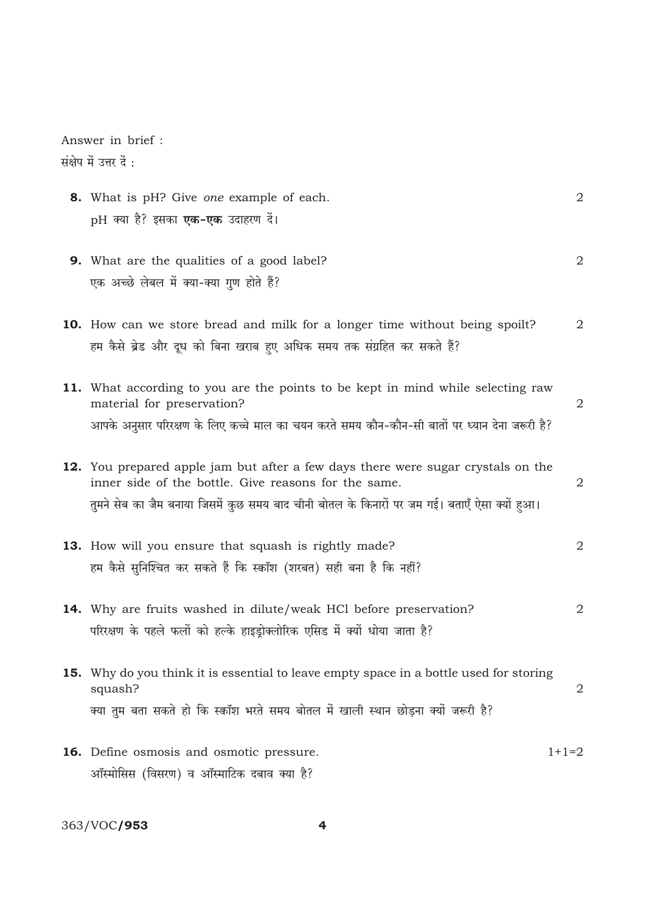Answer in brief : संक्षेप में उत्तर दें :

| 8. What is pH? Give one example of each.<br>pH क्या है? इसका <b>एक-एक</b> उदाहरण दें।                                                                                                                                                            | $\overline{2}$ |
|--------------------------------------------------------------------------------------------------------------------------------------------------------------------------------------------------------------------------------------------------|----------------|
| <b>9.</b> What are the qualities of a good label?<br>एक अच्छे लेबल में क्या-क्या गुण होते हैं?                                                                                                                                                   | 2              |
| <b>10.</b> How can we store bread and milk for a longer time without being spoilt?<br>हम कैसे ब्रेड और दूध को बिना खराब हुए अधिक समय तक संग्रहित कर सकते हैं?                                                                                    | 2              |
| 11. What according to you are the points to be kept in mind while selecting raw<br>material for preservation?<br>आपके अनुसार परिरक्षण के लिए कच्चे माल का चयन करते समय कौन-कौन-सी बातों पर ध्यान देना जरूरी है?                                  | 2              |
| <b>12.</b> You prepared apple jam but after a few days there were sugar crystals on the<br>inner side of the bottle. Give reasons for the same.<br>तुमने सेब का जैम बनाया जिसमें कुछ समय बाद चीनी बोतल के किनारों पर जम गई। बताएँ ऐसा क्यों हुआ। | 2              |
| <b>13.</b> How will you ensure that squash is rightly made?<br>हम कैसे सुनिश्चित कर सकते हैं कि स्कॉश (शरबत) सही बना है कि नहीं?                                                                                                                 | 2              |
| <b>14.</b> Why are fruits washed in dilute/weak HCl before preservation?<br>परिरक्षण के पहले फलों को हल्के हाइड्रोक्लोरिक एसिड में क्यों धोया जाता है?                                                                                           | 2              |
| 15. Why do you think it is essential to leave empty space in a bottle used for storing<br>squash?<br>क्या तुम बता सकते हो कि स्कॉश भरते समय बोतल में खाली स्थान छोड़ना क्यों जरूरी है?                                                           | 2              |
| <b>16.</b> Define osmosis and osmotic pressure.<br>ऑस्मोसिस (विसरण) व ऑस्माटिक दबाव क्या है?                                                                                                                                                     | $1+1=2$        |

363/VOC**/953**